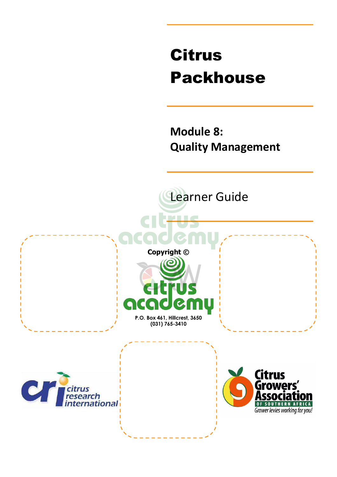# Citrus Packhouse

**Module 8: Quality Management** 

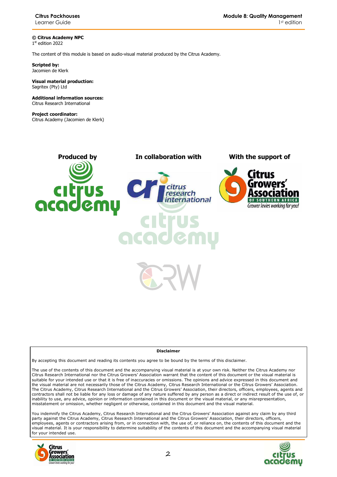**© Citrus Academy NPC**  1 st edition 2022

The content of this module is based on audio-visual material produced by the Citrus Academy.

**Scripted by:**  Jacomien de Klerk

#### **Visual material production:**  Sagritex (Pty) Ltd

**Additional information sources:**  Citrus Research International

**Project coordinator:** Citrus Academy (Jacomien de Klerk)



#### **Disclaimer**

By accepting this document and reading its contents you agree to be bound by the terms of this disclaimer.

The use of the contents of this document and the accompanying visual material is at your own risk. Neither the Citrus Academy nor Citrus Research International nor the Citrus Growers' Association warrant that the content of this document or the visual material is suitable for your intended use or that it is free of inaccuracies or omissions. The opinions and advice expressed in this document and the visual material are not necessarily those of the Citrus Academy, Citrus Research International or the Citrus Growers' Association. The Citrus Academy, Citrus Research International and the Citrus Growers' Association, their directors, officers, employees, agents and contractors shall not be liable for any loss or damage of any nature suffered by any person as a direct or indirect result of the use of, or inability to use, any advice, opinion or information contained in this document or the visual material, or any misrepresentation, misstatement or omission, whether negligent or otherwise, contained in this document and the visual material.

You indemnify the Citrus Academy, Citrus Research International and the Citrus Growers' Association against any claim by any third party against the Citrus Academy, Citrus Research International and the Citrus Growers' Association, their directors, officers, employees, agents or contractors arising from, or in connection with, the use of, or reliance on, the contents of this document and the visual material. It is your responsibility to determine suitability of the contents of this document and the accompanying visual material for your intended use.



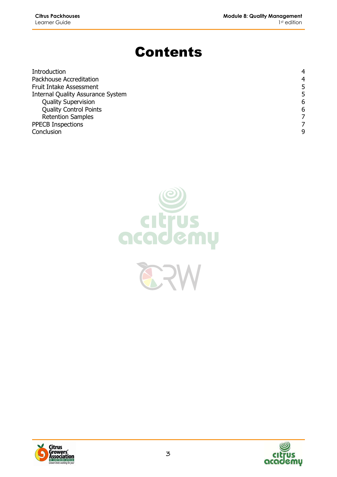## Contents

| Introduction                             | 4 |
|------------------------------------------|---|
| Packhouse Accreditation                  | 4 |
| <b>Fruit Intake Assessment</b>           | 5 |
| <b>Internal Quality Assurance System</b> | 5 |
| <b>Quality Supervision</b>               | 6 |
| <b>Quality Control Points</b>            | 6 |
| <b>Retention Samples</b>                 |   |
| <b>PPECB Inspections</b>                 |   |
| Conclusion                               | q |





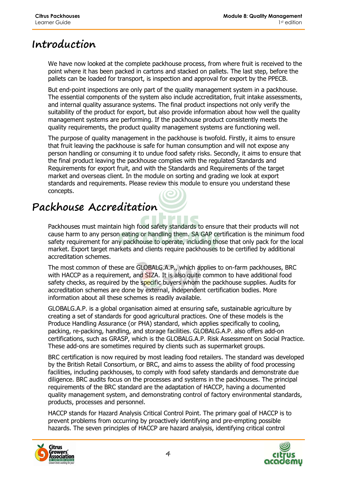#### **Introduction**

We have now looked at the complete packhouse process, from where fruit is received to the point where it has been packed in cartons and stacked on pallets. The last step, before the pallets can be loaded for transport, is inspection and approval for export by the PPECB.

But end-point inspections are only part of the quality management system in a packhouse. The essential components of the system also include accreditation, fruit intake assessments, and internal quality assurance systems. The final product inspections not only verify the suitability of the product for export, but also provide information about how well the quality management systems are performing. If the packhouse product consistently meets the quality requirements, the product quality management systems are functioning well.

The purpose of quality management in the packhouse is twofold. Firstly, it aims to ensure that fruit leaving the packhouse is safe for human consumption and will not expose any person handling or consuming it to undue food safety risks. Secondly, it aims to ensure that the final product leaving the packhouse complies with the regulated Standards and Requirements for export fruit, and with the Standards and Requirements of the target market and overseas client. In the module on sorting and grading we look at export standards and requirements. Please review this module to ensure you understand these concepts.

### **Packhouse Accreditation**

Packhouses must maintain high food safety standards to ensure that their products will not cause harm to any person eating or handling them. SA GAP certification is the minimum food safety requirement for any packhouse to operate, including those that only pack for the local market. Export target markets and clients require packhouses to be certified by additional accreditation schemes.

The most common of these are GLOBALG.A.P., which applies to on-farm packhouses, BRC with HACCP as a requirement, and SIZA. It is also quite common to have additional food safety checks, as required by the specific buyers whom the packhouse supplies. Audits for accreditation schemes are done by external, independent certification bodies. More information about all these schemes is readily available.

GLOBALG.A.P. is a global organisation aimed at ensuring safe, sustainable agriculture by creating a set of standards for good agricultural practices. One of these models is the Produce Handling Assurance (or PHA) standard, which applies specifically to cooling, packing, re-packing, handling, and storage facilities. GLOBALG.A.P. also offers add-on certifications, such as GRASP, which is the GLOBALG.A.P. Risk Assessment on Social Practice. These add-ons are sometimes required by clients such as supermarket groups.

BRC certification is now required by most leading food retailers. The standard was developed by the British Retail Consortium, or BRC, and aims to assess the ability of food processing facilities, including packhouses, to comply with food safety standards and demonstrate due diligence. BRC audits focus on the processes and systems in the packhouses. The principal requirements of the BRC standard are the adaptation of HACCP, having a documented quality management system, and demonstrating control of factory environmental standards, products, processes and personnel.

HACCP stands for Hazard Analysis Critical Control Point. The primary goal of HACCP is to prevent problems from occurring by proactively identifying and pre-empting possible hazards. The seven principles of HACCP are hazard analysis, identifying critical control



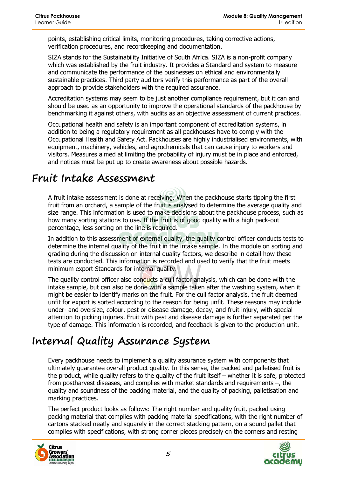points, establishing critical limits, monitoring procedures, taking corrective actions, verification procedures, and recordkeeping and documentation.

SIZA stands for the Sustainability Initiative of South Africa. SIZA is a non-profit company which was established by the fruit industry. It provides a Standard and system to measure and communicate the performance of the businesses on ethical and environmentally sustainable practices. Third party auditors verify this performance as part of the overall approach to provide stakeholders with the required assurance.

Accreditation systems may seem to be just another compliance requirement, but it can and should be used as an opportunity to improve the operational standards of the packhouse by benchmarking it against others, with audits as an objective assessment of current practices.

Occupational health and safety is an important component of accreditation systems, in addition to being a regulatory requirement as all packhouses have to comply with the Occupational Health and Safety Act. Packhouses are highly industrialised environments, with equipment, machinery, vehicles, and agrochemicals that can cause injury to workers and visitors. Measures aimed at limiting the probability of injury must be in place and enforced, and notices must be put up to create awareness about possible hazards.

#### **Fruit Intake Assessment**

A fruit intake assessment is done at receiving. When the packhouse starts tipping the first fruit from an orchard, a sample of the fruit is analysed to determine the average quality and size range. This information is used to make decisions about the packhouse process, such as how many sorting stations to use. If the fruit is of good quality with a high pack-out percentage, less sorting on the line is required.

In addition to this assessment of external quality, the quality control officer conducts tests to determine the internal quality of the fruit in the intake sample. In the module on sorting and grading during the discussion on internal quality factors, we describe in detail how these tests are conducted. This information is recorded and used to verify that the fruit meets minimum export Standards for internal quality.

The quality control officer also conducts a cull factor analysis, which can be done with the intake sample, but can also be done with a sample taken after the washing system, when it might be easier to identify marks on the fruit. For the cull factor analysis, the fruit deemed unfit for export is sorted according to the reason for being unfit. These reasons may include under- and oversize, colour, pest or disease damage, decay, and fruit injury, with special attention to picking injuries. Fruit with pest and disease damage is further separated per the type of damage. This information is recorded, and feedback is given to the production unit.

#### **Internal Quality Assurance System**

Every packhouse needs to implement a quality assurance system with components that ultimately guarantee overall product quality. In this sense, the packed and palletised fruit is the product, while quality refers to the quality of the fruit itself – whether it is safe, protected from postharvest diseases, and complies with market standards and requirements –, the quality and soundness of the packing material, and the quality of packing, palletisation and marking practices.

The perfect product looks as follows: The right number and quality fruit, packed using packing material that complies with packing material specifications, with the right number of cartons stacked neatly and squarely in the correct stacking pattern, on a sound pallet that complies with specifications, with strong corner pieces precisely on the corners and resting



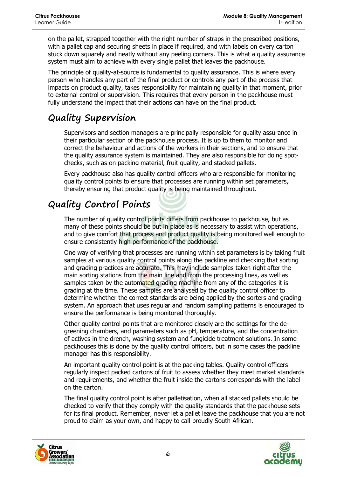on the pallet, strapped together with the right number of straps in the prescribed positions, with a pallet cap and securing sheets in place if required, and with labels on every carton stuck down squarely and neatly without any peeling corners. This is what a quality assurance system must aim to achieve with every single pallet that leaves the packhouse.

The principle of quality-at-source is fundamental to quality assurance. This is where every person who handles any part of the final product or controls any part of the process that impacts on product quality, takes responsibility for maintaining quality in that moment, prior to external control or supervision. This requires that every person in the packhouse must fully understand the impact that their actions can have on the final product.

#### **Quality Supervision**

Supervisors and section managers are principally responsible for quality assurance in their particular section of the packhouse process. It is up to them to monitor and correct the behaviour and actions of the workers in their sections, and to ensure that the quality assurance system is maintained. They are also responsible for doing spotchecks, such as on packing material, fruit quality, and stacked pallets.

Every packhouse also has quality control officers who are responsible for monitoring quality control points to ensure that processes are running within set parameters, thereby ensuring that product quality is being maintained throughout.

#### **Quality Control Points**

The number of quality control points differs from packhouse to packhouse, but as many of these points should be put in place as is necessary to assist with operations, and to give comfort that process and product quality is being monitored well enough to ensure consistently high performance of the packhouse.

One way of verifying that processes are running within set parameters is by taking fruit samples at various quality control points along the packline and checking that sorting and grading practices are accurate. This may include samples taken right after the main sorting stations from the main line and from the processing lines, as well as samples taken by the automated grading machine from any of the categories it is grading at the time. These samples are analysed by the quality control officer to determine whether the correct standards are being applied by the sorters and grading system. An approach that uses regular and random sampling patterns is encouraged to ensure the performance is being monitored thoroughly.

Other quality control points that are monitored closely are the settings for the degreening chambers, and parameters such as pH, temperature, and the concentration of actives in the drench, washing system and fungicide treatment solutions. In some packhouses this is done by the quality control officers, but in some cases the packline manager has this responsibility.

An important quality control point is at the packing tables. Quality control officers regularly inspect packed cartons of fruit to assess whether they meet market standards and requirements, and whether the fruit inside the cartons corresponds with the label on the carton.

The final quality control point is after palletisation, when all stacked pallets should be checked to verify that they comply with the quality standards that the packhouse sets for its final product. Remember, never let a pallet leave the packhouse that you are not proud to claim as your own, and happy to call proudly South African.



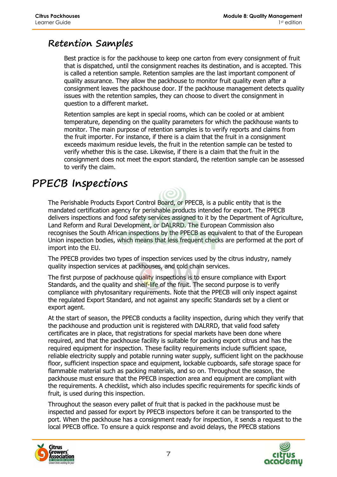#### **Retention Samples**

Best practice is for the packhouse to keep one carton from every consignment of fruit that is dispatched, until the consignment reaches its destination, and is accepted. This is called a retention sample. Retention samples are the last important component of quality assurance. They allow the packhouse to monitor fruit quality even after a consignment leaves the packhouse door. If the packhouse management detects quality issues with the retention samples, they can choose to divert the consignment in question to a different market.

Retention samples are kept in special rooms, which can be cooled or at ambient temperature, depending on the quality parameters for which the packhouse wants to monitor. The main purpose of retention samples is to verify reports and claims from the fruit importer. For instance, if there is a claim that the fruit in a consignment exceeds maximum residue levels, the fruit in the retention sample can be tested to verify whether this is the case. Likewise, if there is a claim that the fruit in the consignment does not meet the export standard, the retention sample can be assessed to verify the claim.

#### **PPECB Inspections**

The Perishable Products Export Control Board, or PPECB, is a public entity that is the mandated certification agency for perishable products intended for export. The PPECB delivers inspections and food safety services assigned to it by the Department of Agriculture, Land Reform and Rural Development, or DALRRD. The European Commission also recognises the South African inspections by the PPECB as equivalent to that of the European Union inspection bodies, which means that less frequent checks are performed at the port of import into the EU.

The PPECB provides two types of inspection services used by the citrus industry, namely quality inspection services at packhouses, and cold chain services.

The first purpose of packhouse quality inspections is to ensure compliance with Export Standards, and the quality and shelf-life of the fruit. The second purpose is to verify compliance with phytosanitary requirements. Note that the PPECB will only inspect against the regulated Export Standard, and not against any specific Standards set by a client or export agent.

At the start of season, the PPECB conducts a facility inspection, during which they verify that the packhouse and production unit is registered with DALRRD, that valid food safety certificates are in place, that registrations for special markets have been done where required, and that the packhouse facility is suitable for packing export citrus and has the required equipment for inspection. These facility requirements include sufficient space, reliable electricity supply and potable running water supply, sufficient light on the packhouse floor, sufficient inspection space and equipment, lockable cupboards, safe storage space for flammable material such as packing materials, and so on. Throughout the season, the packhouse must ensure that the PPECB inspection area and equipment are compliant with the requirements. A checklist, which also includes specific requirements for specific kinds of fruit, is used during this inspection.

Throughout the season every pallet of fruit that is packed in the packhouse must be inspected and passed for export by PPECB inspectors before it can be transported to the port. When the packhouse has a consignment ready for inspection, it sends a request to the local PPECB office. To ensure a quick response and avoid delays, the PPECB stations



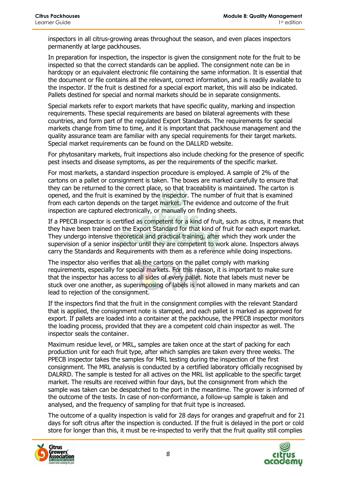inspectors in all citrus-growing areas throughout the season, and even places inspectors permanently at large packhouses.

In preparation for inspection, the inspector is given the consignment note for the fruit to be inspected so that the correct standards can be applied. The consignment note can be in hardcopy or an equivalent electronic file containing the same information. It is essential that the document or file contains all the relevant, correct information, and is readily available to the inspector. If the fruit is destined for a special export market, this will also be indicated. Pallets destined for special and normal markets should be in separate consignments.

Special markets refer to export markets that have specific quality, marking and inspection requirements. These special requirements are based on bilateral agreements with these countries, and form part of the regulated Export Standards. The requirements for special markets change from time to time, and it is important that packhouse management and the quality assurance team are familiar with any special requirements for their target markets. Special market requirements can be found on the DALLRD website.

For phytosanitary markets, fruit inspections also include checking for the presence of specific pest insects and disease symptoms, as per the requirements of the specific market.

For most markets, a standard inspection procedure is employed. A sample of 2% of the cartons on a pallet or consignment is taken. The boxes are marked carefully to ensure that they can be returned to the correct place, so that traceability is maintained. The carton is opened, and the fruit is examined by the inspector. The number of fruit that is examined from each carton depends on the target market. The evidence and outcome of the fruit inspection are captured electronically, or manually on finding sheets.

If a PPECB inspector is certified as competent for a kind of fruit, such as citrus, it means that they have been trained on the Export Standard for that kind of fruit for each export market. They undergo intensive theoretical and practical training, after which they work under the supervision of a senior inspector until they are competent to work alone. Inspectors always carry the Standards and Requirements with them as a reference while doing inspections.

The inspector also verifies that all the cartons on the pallet comply with marking requirements, especially for special markets. For this reason, it is important to make sure that the inspector has access to all sides of every pallet. Note that labels must never be stuck over one another, as superimposing of labels is not allowed in many markets and can lead to rejection of the consignment.

If the inspectors find that the fruit in the consignment complies with the relevant Standard that is applied, the consignment note is stamped, and each pallet is marked as approved for export. If pallets are loaded into a container at the packhouse, the PPECB inspector monitors the loading process, provided that they are a competent cold chain inspector as well. The inspector seals the container.

Maximum residue level, or MRL, samples are taken once at the start of packing for each production unit for each fruit type, after which samples are taken every three weeks. The PPECB inspector takes the samples for MRL testing during the inspection of the first consignment. The MRL analysis is conducted by a certified laboratory officially recognised by DALRRD. The sample is tested for all actives on the MRL list applicable to the specific target market. The results are received within four days, but the consignment from which the sample was taken can be despatched to the port in the meantime. The grower is informed of the outcome of the tests. In case of non-conformance, a follow-up sample is taken and analysed, and the frequency of sampling for that fruit type is increased.

The outcome of a quality inspection is valid for 28 days for oranges and grapefruit and for 21 days for soft citrus after the inspection is conducted. If the fruit is delayed in the port or cold store for longer than this, it must be re-inspected to verify that the fruit quality still complies